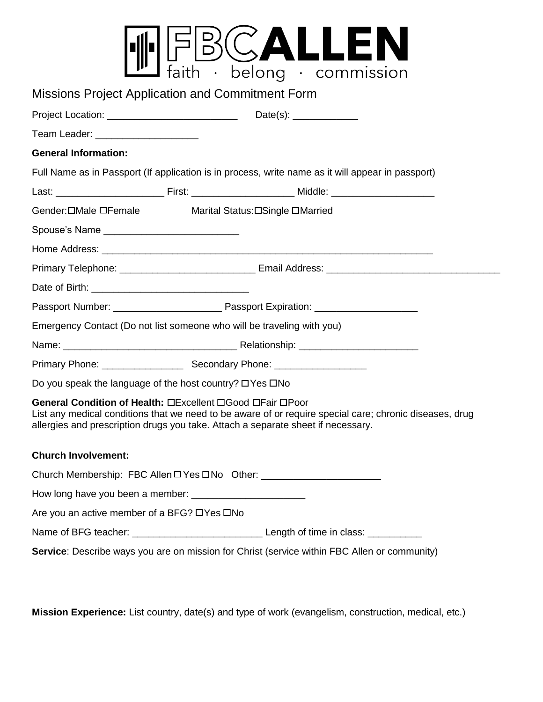|  | $\bullet$ | ma<br>$\sim$ | $\bullet$ | ssion<br>(()) |
|--|-----------|--------------|-----------|---------------|

| $\sim$ rature belong commonly                                                                                                                                                                                                                                           |
|-------------------------------------------------------------------------------------------------------------------------------------------------------------------------------------------------------------------------------------------------------------------------|
| <b>Missions Project Application and Commitment Form</b>                                                                                                                                                                                                                 |
|                                                                                                                                                                                                                                                                         |
| Team Leader: ______________________                                                                                                                                                                                                                                     |
| <b>General Information:</b>                                                                                                                                                                                                                                             |
| Full Name as in Passport (If application is in process, write name as it will appear in passport)                                                                                                                                                                       |
|                                                                                                                                                                                                                                                                         |
| Gender: OMale OFemale Marital Status: OSingle OMarried                                                                                                                                                                                                                  |
| Spouse's Name _____________________________                                                                                                                                                                                                                             |
|                                                                                                                                                                                                                                                                         |
|                                                                                                                                                                                                                                                                         |
|                                                                                                                                                                                                                                                                         |
|                                                                                                                                                                                                                                                                         |
| Emergency Contact (Do not list someone who will be traveling with you)                                                                                                                                                                                                  |
|                                                                                                                                                                                                                                                                         |
|                                                                                                                                                                                                                                                                         |
| Do you speak the language of the host country? □ Yes □ No                                                                                                                                                                                                               |
| General Condition of Health: <b>OB</b> xcellent <b>OGood OFair OPoor</b><br>List any medical conditions that we need to be aware of or require special care; chronic diseases, drug<br>allergies and prescription drugs you take. Attach a separate sheet if necessary. |
| <b>Church Involvement:</b>                                                                                                                                                                                                                                              |
| Church Membership: FBC Allen DYes DNo Other: ___________________________________                                                                                                                                                                                        |
|                                                                                                                                                                                                                                                                         |
| Are you an active member of a BFG? □Yes □No                                                                                                                                                                                                                             |
|                                                                                                                                                                                                                                                                         |
| Service: Describe ways you are on mission for Christ (service within FBC Allen or community)                                                                                                                                                                            |

**Mission Experience:** List country, date(s) and type of work (evangelism, construction, medical, etc.)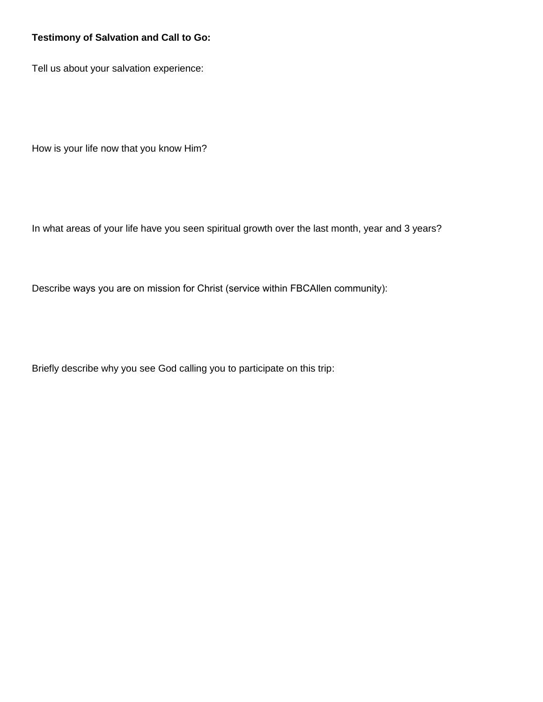## **Testimony of Salvation and Call to Go:**

Tell us about your salvation experience:

How is your life now that you know Him?

In what areas of your life have you seen spiritual growth over the last month, year and 3 years?

Describe ways you are on mission for Christ (service within FBCAllen community):

Briefly describe why you see God calling you to participate on this trip: